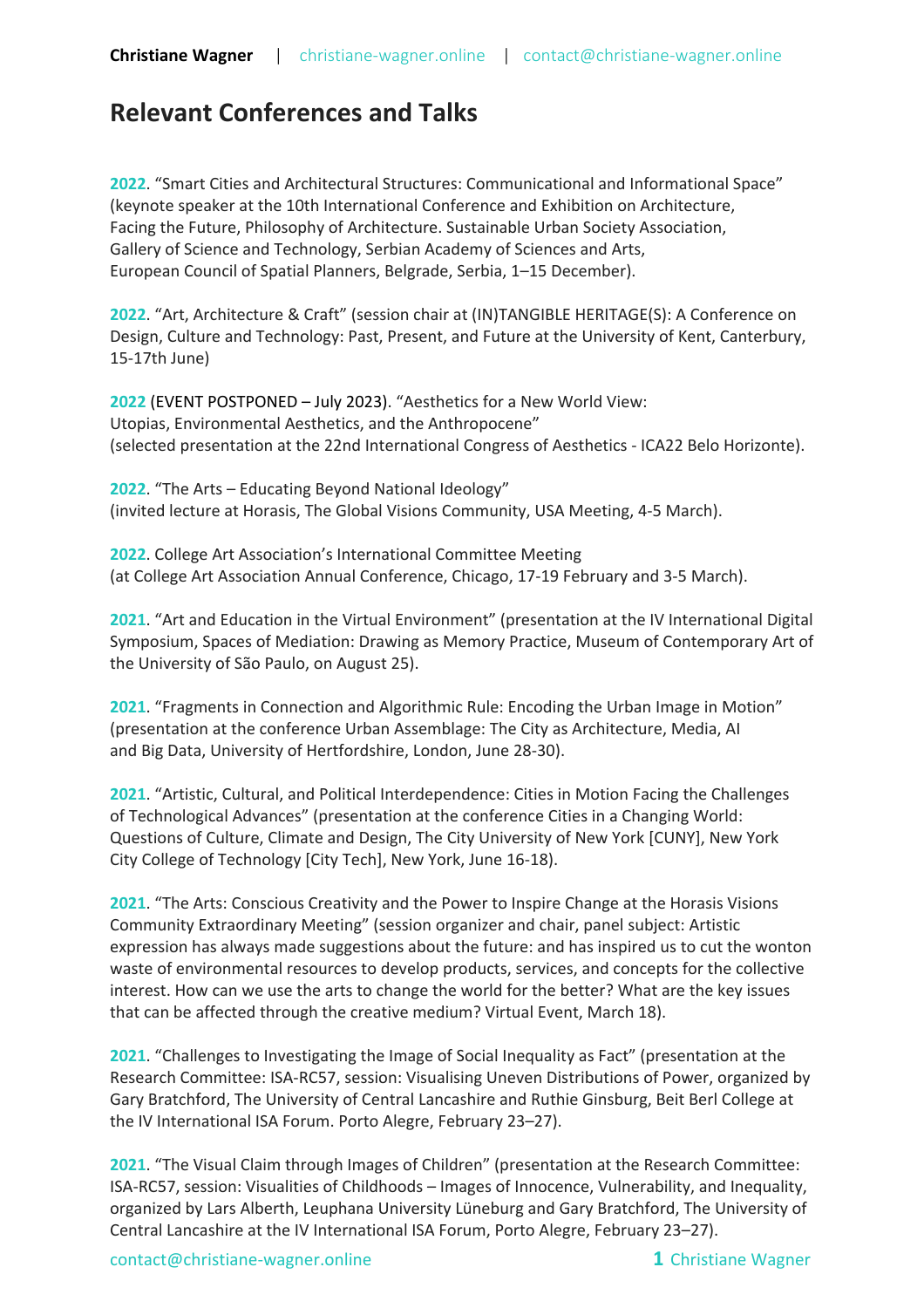## **Relevant Conferences and Talks**

**2022**. "Smart Cities and Architectural Structures: Communicational and Informational Space" (keynote speaker at the 10th International Conference and Exhibition on Architecture, Facing the Future, Philosophy of Architecture. Sustainable Urban Society Association, Gallery of Science and Technology, Serbian Academy of Sciences and Arts, European Council of Spatial Planners, Belgrade, Serbia, 1–15 December).

**2022**. "Art, Architecture & Craft" (session chair at (IN)TANGIBLE HERITAGE(S): A Conference on Design, Culture and Technology: Past, Present, and Future at the University of Kent, Canterbury, 15-17th June)

**2022** (EVENT POSTPONED – July 2023). "Aesthetics for a New World View: Utopias, Environmental Aesthetics, and the Anthropocene" (selected presentation at the 22nd International Congress of Aesthetics - ICA22 Belo Horizonte).

**2022**. "The Arts – Educating Beyond National Ideology" (invited lecture at Horasis, The Global Visions Community, USA Meeting, 4-5 March).

**2022**. College Art Association's International Committee Meeting (at College Art Association Annual Conference, Chicago, 17-19 February and 3-5 March).

**2021**. "Art and Education in the Virtual Environment" (presentation at the IV International Digital Symposium, Spaces of Mediation: Drawing as Memory Practice, Museum of Contemporary Art of the University of São Paulo, on August 25).

**2021**. "Fragments in Connection and Algorithmic Rule: Encoding the Urban Image in Motion" (presentation at the conference Urban Assemblage: The City as Architecture, Media, AI and Big Data, University of Hertfordshire, London, June 28-30).

**2021**. "Artistic, Cultural, and Political Interdependence: Cities in Motion Facing the Challenges of Technological Advances" (presentation at the conference Cities in a Changing World: Questions of Culture, Climate and Design, The City University of New York [CUNY], New York City College of Technology [City Tech], New York, June 16-18).

**2021**. "The Arts: Conscious Creativity and the Power to Inspire Change at the Horasis Visions Community Extraordinary Meeting" (session organizer and chair, panel subject: Artistic expression has always made suggestions about the future: and has inspired us to cut the wonton waste of environmental resources to develop products, services, and concepts for the collective interest. How can we use the arts to change the world for the better? What are the key issues that can be affected through the creative medium? Virtual Event, March 18).

**2021**. "Challenges to Investigating the Image of Social Inequality as Fact" (presentation at the Research Committee: ISA-RC57, session: Visualising Uneven Distributions of Power, organized by Gary Bratchford, The University of Central Lancashire and Ruthie Ginsburg, Beit Berl College at the IV International ISA Forum. Porto Alegre, February 23–27).

**2021**. "The Visual Claim through Images of Children" (presentation at the Research Committee: ISA-RC57, session: Visualities of Childhoods – Images of Innocence, Vulnerability, and Inequality, organized by Lars Alberth, Leuphana University Lüneburg and Gary Bratchford, The University of Central Lancashire at the IV International ISA Forum, Porto Alegre, February 23–27).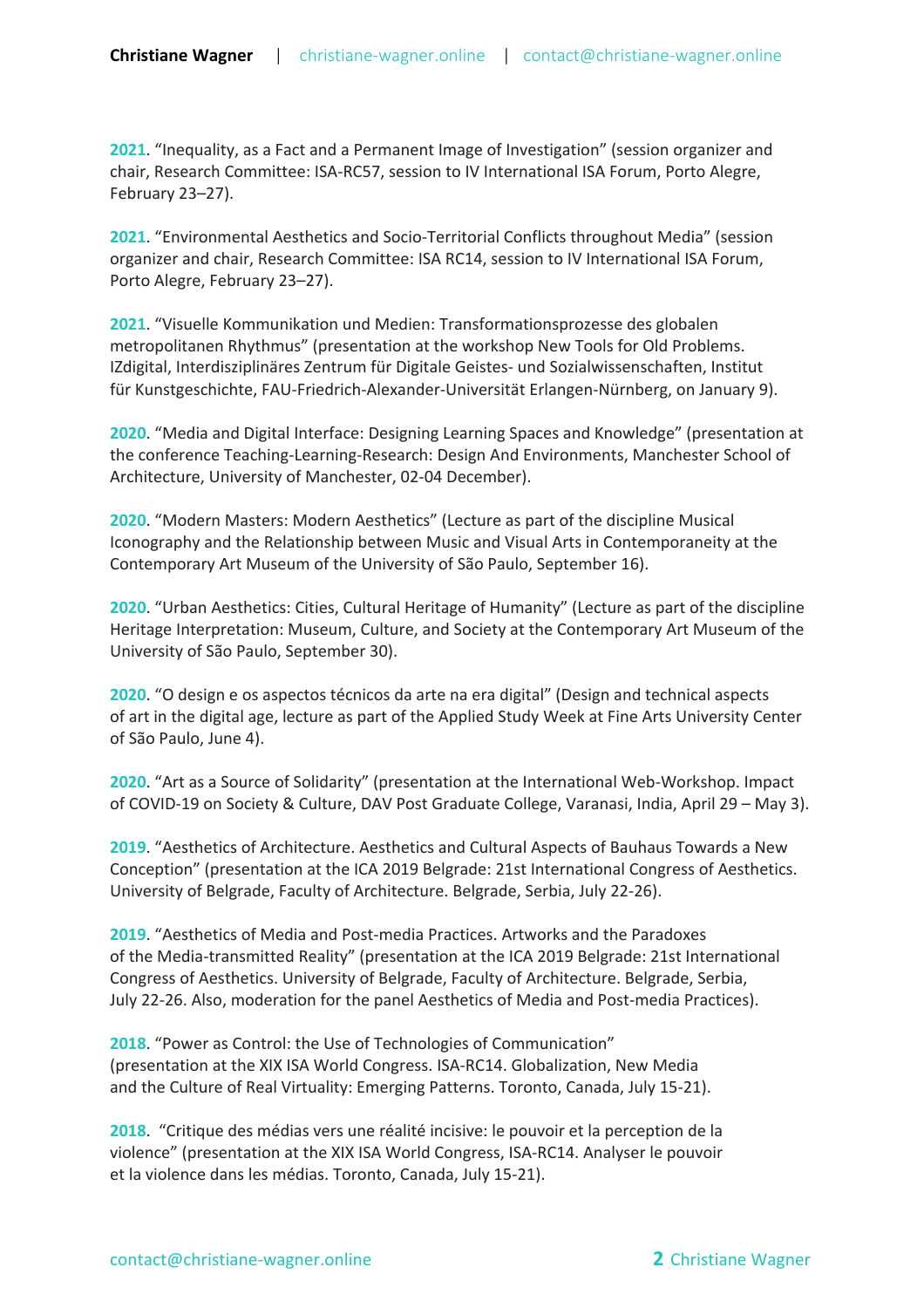**2021**. "Inequality, as a Fact and a Permanent Image of Investigation" (session organizer and chair, Research Committee: ISA-RC57, session to IV International ISA Forum, Porto Alegre, February 23–27).

**2021**. "Environmental Aesthetics and Socio-Territorial Conflicts throughout Media" (session organizer and chair, Research Committee: ISA RC14, session to IV International ISA Forum, Porto Alegre, February 23–27).

**2021**. "Visuelle Kommunikation und Medien: Transformationsprozesse des globalen metropolitanen Rhythmus" (presentation at the workshop New Tools for Old Problems. IZdigital, Interdisziplinäres Zentrum für Digitale Geistes- und Sozialwissenschaften, Institut für Kunstgeschichte, FAU-Friedrich-Alexander-Universität Erlangen-Nürnberg, on January 9).

**2020**. "Media and Digital Interface: Designing Learning Spaces and Knowledge" (presentation at the conference Teaching-Learning-Research: Design And Environments, Manchester School of Architecture, University of Manchester, 02-04 December).

**2020**. "Modern Masters: Modern Aesthetics" (Lecture as part of the discipline Musical Iconography and the Relationship between Music and Visual Arts in Contemporaneity at the Contemporary Art Museum of the University of São Paulo, September 16).

**2020**. "Urban Aesthetics: Cities, Cultural Heritage of Humanity" (Lecture as part of the discipline Heritage Interpretation: Museum, Culture, and Society at the Contemporary Art Museum of the University of São Paulo, September 30).

**2020**. "O design e os aspectos técnicos da arte na era digital" (Design and technical aspects of art in the digital age, lecture as part of the Applied Study Week at Fine Arts University Center of São Paulo, June 4).

**2020**. "Art as a Source of Solidarity" (presentation at the International Web-Workshop. Impact of COVID-19 on Society & Culture, DAV Post Graduate College, Varanasi, India, April 29 – May 3).

**2019**. "Aesthetics of Architecture. Aesthetics and Cultural Aspects of Bauhaus Towards a New Conception" (presentation at the ICA 2019 Belgrade: 21st International Congress of Aesthetics. University of Belgrade, Faculty of Architecture. Belgrade, Serbia, July 22-26).

**2019**. "Aesthetics of Media and Post-media Practices. Artworks and the Paradoxes of the Media-transmitted Reality" (presentation at the ICA 2019 Belgrade: 21st International Congress of Aesthetics. University of Belgrade, Faculty of Architecture. Belgrade, Serbia, July 22-26. Also, moderation for the panel Aesthetics of Media and Post-media Practices).

**2018**. "Power as Control: the Use of Technologies of Communication" (presentation at the XIX ISA World Congress. ISA-RC14. Globalization, New Media and the Culture of Real Virtuality: Emerging Patterns. Toronto, Canada, July 15-21).

**2018**. "Critique des médias vers une réalité incisive: le pouvoir et la perception de la violence" (presentation at the XIX ISA World Congress, ISA-RC14. Analyser le pouvoir et la violence dans les médias. Toronto, Canada, July 15-21).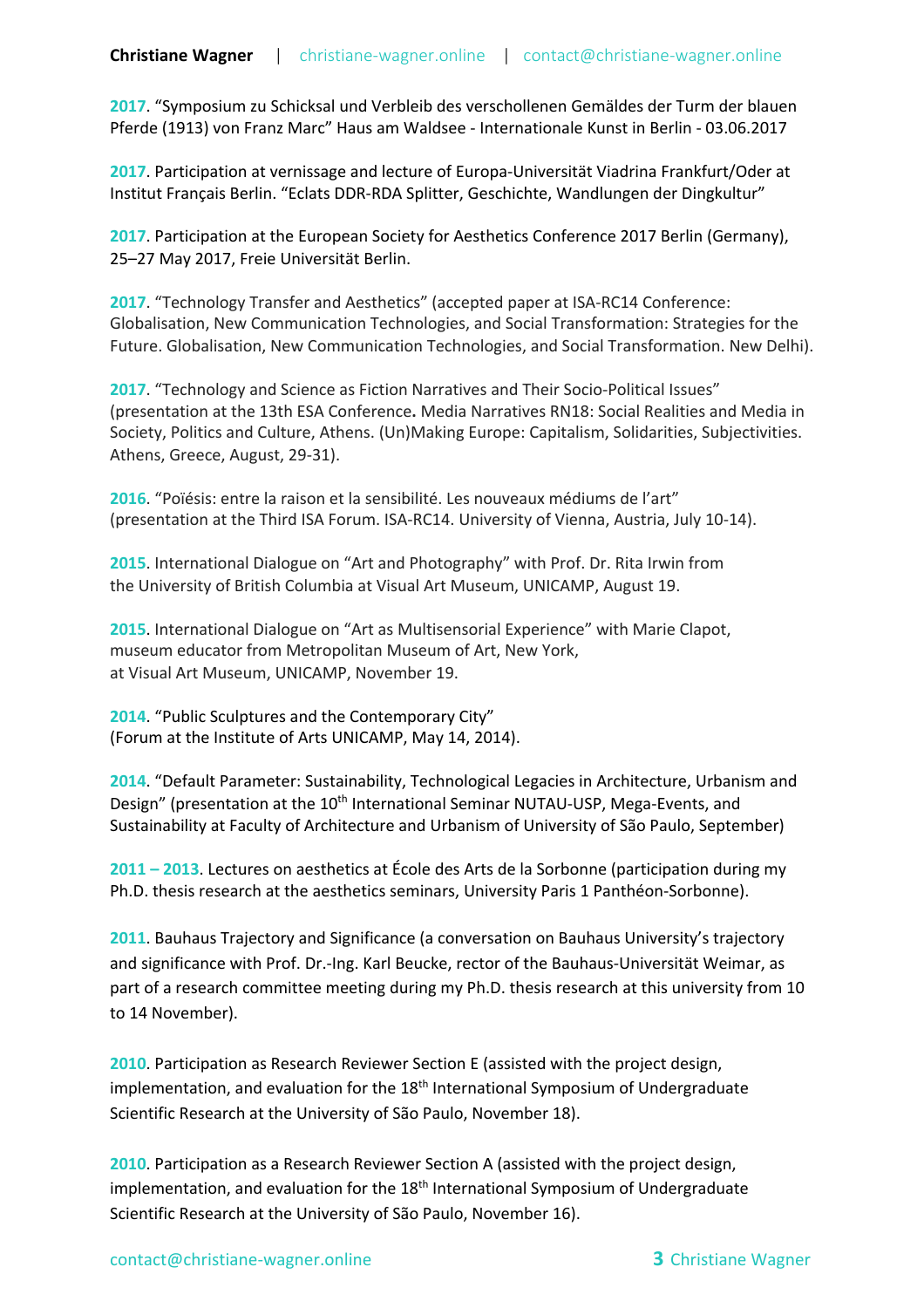**2017**. "Symposium zu Schicksal und Verbleib des verschollenen Gemäldes der Turm der blauen Pferde (1913) von Franz Marc" Haus am Waldsee - Internationale Kunst in Berlin - 03.06.2017

**2017**. Participation at vernissage and lecture of Europa-Universität Viadrina Frankfurt/Oder at Institut Français Berlin. "Eclats DDR-RDA Splitter, Geschichte, Wandlungen der Dingkultur"

**2017**. Participation at the European Society for Aesthetics Conference 2017 Berlin (Germany), 25–27 May 2017, Freie Universität Berlin.

**2017**. "Technology Transfer and Aesthetics" (accepted paper at ISA-RC14 Conference: Globalisation, New Communication Technologies, and Social Transformation: Strategies for the Future. Globalisation, New Communication Technologies, and Social Transformation. New Delhi).

**2017**. "Technology and Science as Fiction Narratives and Their Socio-Political Issues" (presentation at the 13th ESA Conference**.** Media Narratives RN18: Social Realities and Media in Society, Politics and Culture, Athens. (Un)Making Europe: Capitalism, Solidarities, Subjectivities. Athens, Greece, August, 29-31).

**2016**. "Poïésis: entre la raison et la sensibilité. Les nouveaux médiums de l'art" (presentation at the Third ISA Forum. ISA-RC14. University of Vienna, Austria, July 10-14).

**2015**. International Dialogue on "Art and Photography" with Prof. Dr. Rita Irwin from the University of British Columbia at Visual Art Museum, UNICAMP, August 19.

**2015**. International Dialogue on "Art as Multisensorial Experience" with Marie Clapot, museum educator from Metropolitan Museum of Art, New York, at Visual Art Museum, UNICAMP, November 19.

**2014**. "Public Sculptures and the Contemporary City" (Forum at the Institute of Arts UNICAMP, May 14, 2014).

**2014**. "Default Parameter: Sustainability, Technological Legacies in Architecture, Urbanism and Design" (presentation at the 10<sup>th</sup> International Seminar NUTAU-USP, Mega-Events, and Sustainability at Faculty of Architecture and Urbanism of University of São Paulo, September)

**2011 – 2013**. Lectures on aesthetics at École des Arts de la Sorbonne (participation during my Ph.D. thesis research at the aesthetics seminars, University Paris 1 Panthéon-Sorbonne).

**2011**. Bauhaus Trajectory and Significance (a conversation on Bauhaus University's trajectory and significance with Prof. Dr.-Ing. Karl Beucke, rector of the Bauhaus-Universität Weimar, as part of a research committee meeting during my Ph.D. thesis research at this university from 10 to 14 November).

**2010**. Participation as Research Reviewer Section E (assisted with the project design, implementation, and evaluation for the  $18<sup>th</sup>$  International Symposium of Undergraduate Scientific Research at the University of São Paulo, November 18).

**2010**. Participation as a Research Reviewer Section A (assisted with the project design, implementation, and evaluation for the  $18<sup>th</sup>$  International Symposium of Undergraduate Scientific Research at the University of São Paulo, November 16).